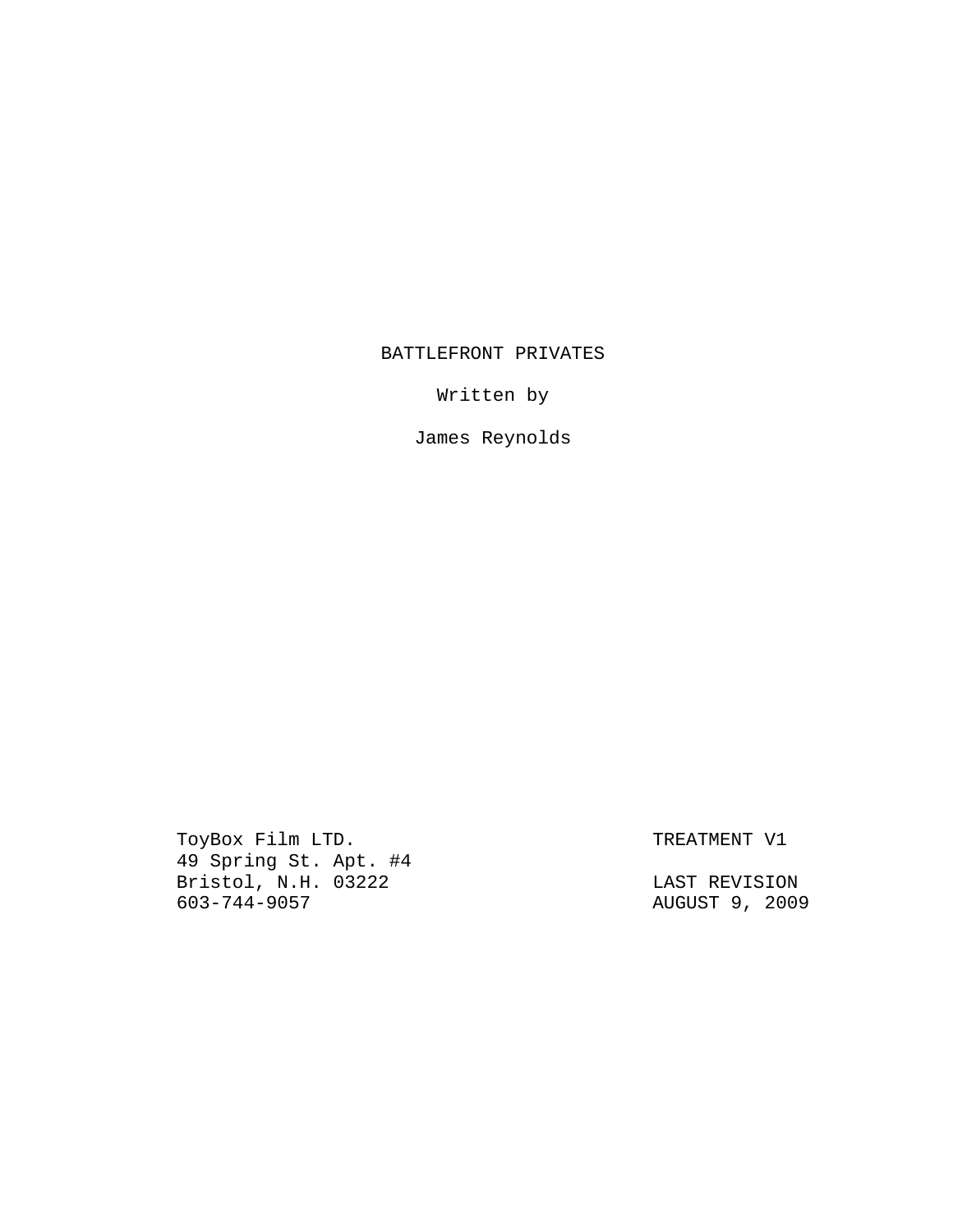# BATTLEFRONT PRIVATES

Written by

James Reynolds

ToyBox Film LTD. The Second Second Second Second Second Second Second Second Second Second Second Second Second Second Second Second Second Second Second Second Second Second Second Second Second Second Second Second Secon 49 Spring St. Apt. #4 Bristol, N.H. 03222 LAST REVISION

603-744-9057 AUGUST 9, 2009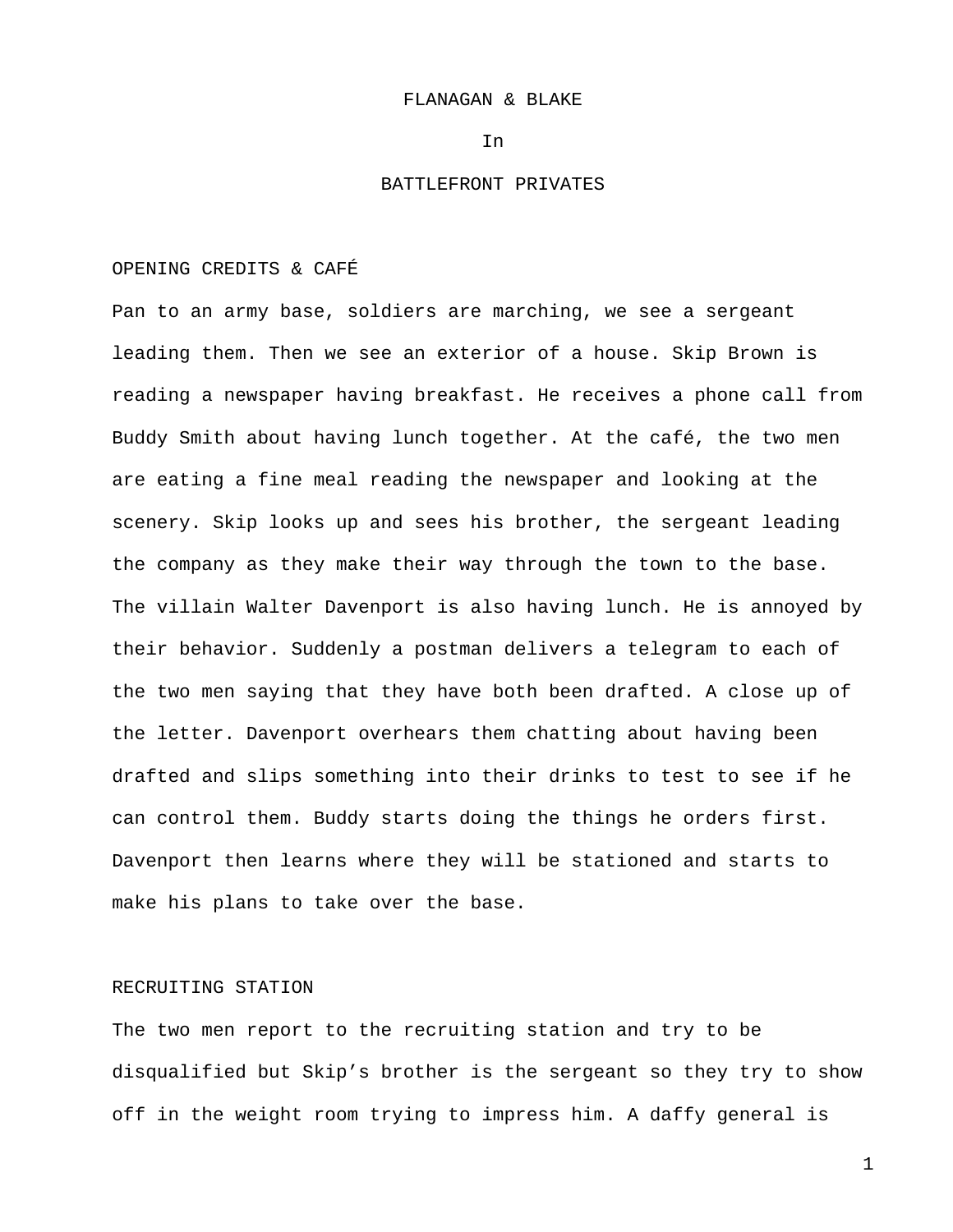### FLANAGAN & BLAKE

In

# BATTLEFRONT PRIVATES

### OPENING CREDITS & CAFÉ

Pan to an army base, soldiers are marching, we see a sergeant leading them. Then we see an exterior of a house. Skip Brown is reading a newspaper having breakfast. He receives a phone call from Buddy Smith about having lunch together. At the café, the two men are eating a fine meal reading the newspaper and looking at the scenery. Skip looks up and sees his brother, the sergeant leading the company as they make their way through the town to the base. The villain Walter Davenport is also having lunch. He is annoyed by their behavior. Suddenly a postman delivers a telegram to each of the two men saying that they have both been drafted. A close up of the letter. Davenport overhears them chatting about having been drafted and slips something into their drinks to test to see if he can control them. Buddy starts doing the things he orders first. Davenport then learns where they will be stationed and starts to make his plans to take over the base.

## RECRUITING STATION

The two men report to the recruiting station and try to be disqualified but Skip's brother is the sergeant so they try to show off in the weight room trying to impress him. A daffy general is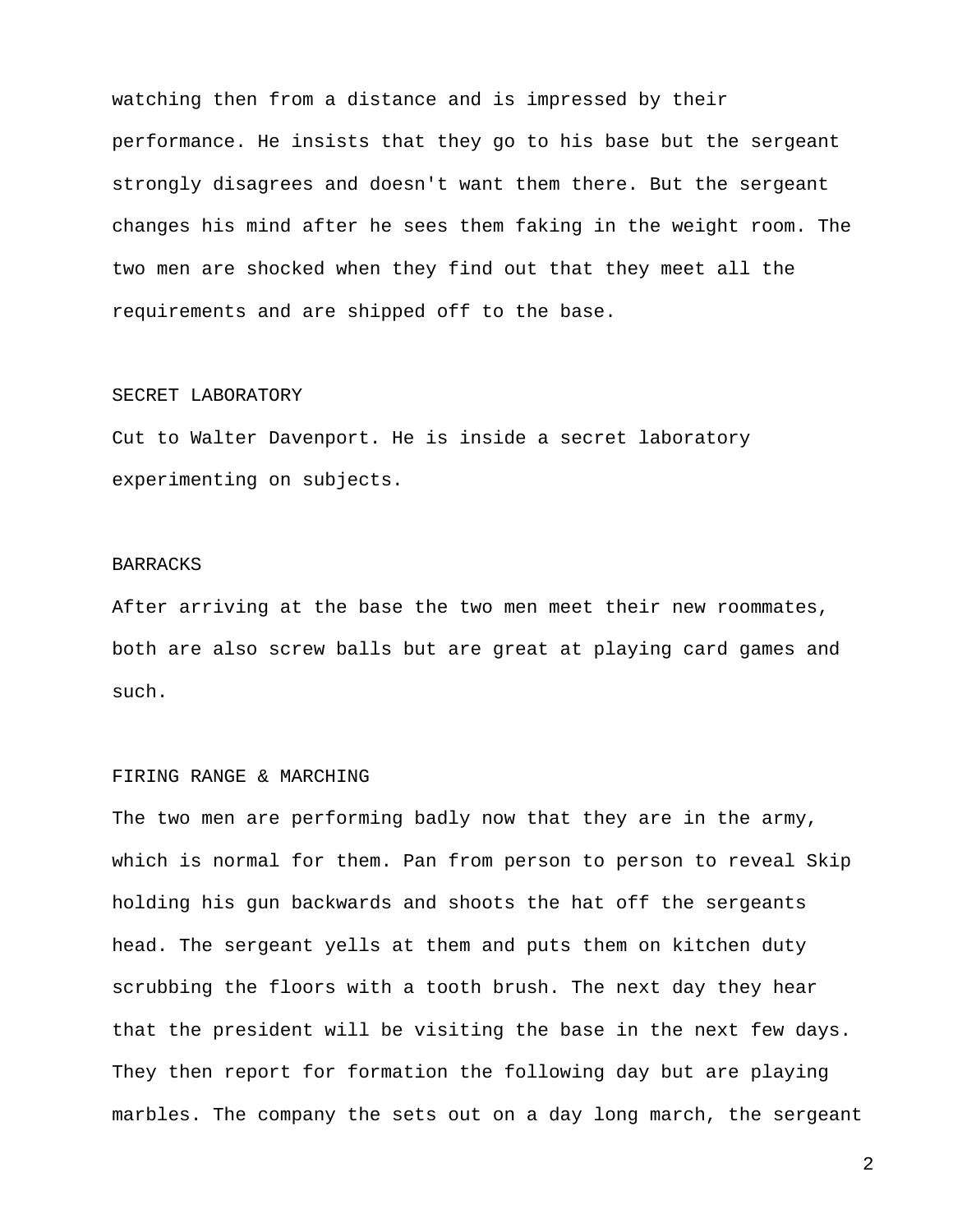watching then from a distance and is impressed by their performance. He insists that they go to his base but the sergeant strongly disagrees and doesn't want them there. But the sergeant changes his mind after he sees them faking in the weight room. The two men are shocked when they find out that they meet all the requirements and are shipped off to the base.

# SECRET LABORATORY

Cut to Walter Davenport. He is inside a secret laboratory experimenting on subjects.

# BARRACKS

After arriving at the base the two men meet their new roommates, both are also screw balls but are great at playing card games and such.

# FIRING RANGE & MARCHING

The two men are performing badly now that they are in the army, which is normal for them. Pan from person to person to reveal Skip holding his gun backwards and shoots the hat off the sergeants head. The sergeant yells at them and puts them on kitchen duty scrubbing the floors with a tooth brush. The next day they hear that the president will be visiting the base in the next few days. They then report for formation the following day but are playing marbles. The company the sets out on a day long march, the sergeant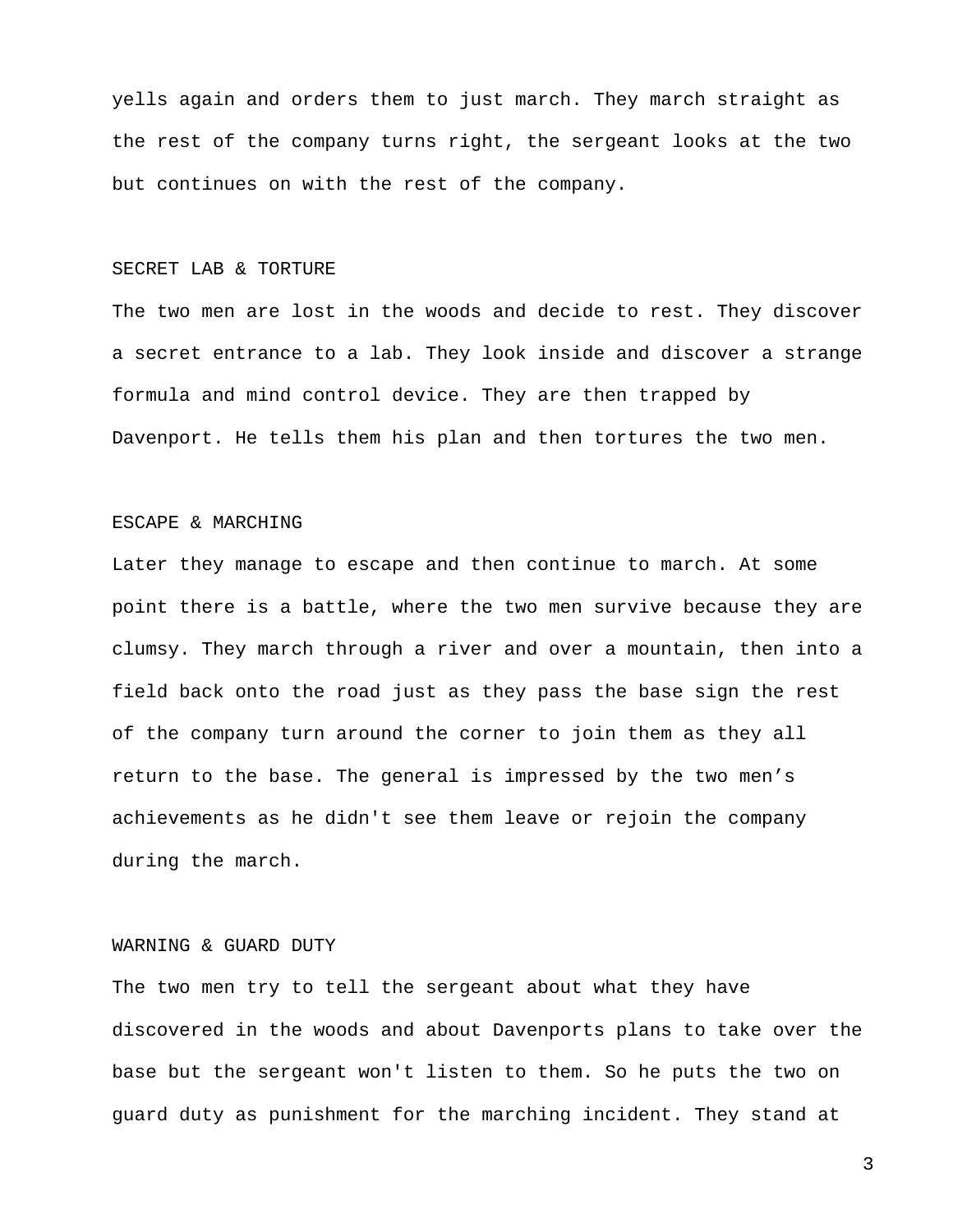yells again and orders them to just march. They march straight as the rest of the company turns right, the sergeant looks at the two but continues on with the rest of the company.

#### SECRET LAB & TORTURE

The two men are lost in the woods and decide to rest. They discover a secret entrance to a lab. They look inside and discover a strange formula and mind control device. They are then trapped by Davenport. He tells them his plan and then tortures the two men.

# ESCAPE & MARCHING

Later they manage to escape and then continue to march. At some point there is a battle, where the two men survive because they are clumsy. They march through a river and over a mountain, then into a field back onto the road just as they pass the base sign the rest of the company turn around the corner to join them as they all return to the base. The general is impressed by the two men's achievements as he didn't see them leave or rejoin the company during the march.

# WARNING & GUARD DUTY

The two men try to tell the sergeant about what they have discovered in the woods and about Davenports plans to take over the base but the sergeant won't listen to them. So he puts the two on guard duty as punishment for the marching incident. They stand at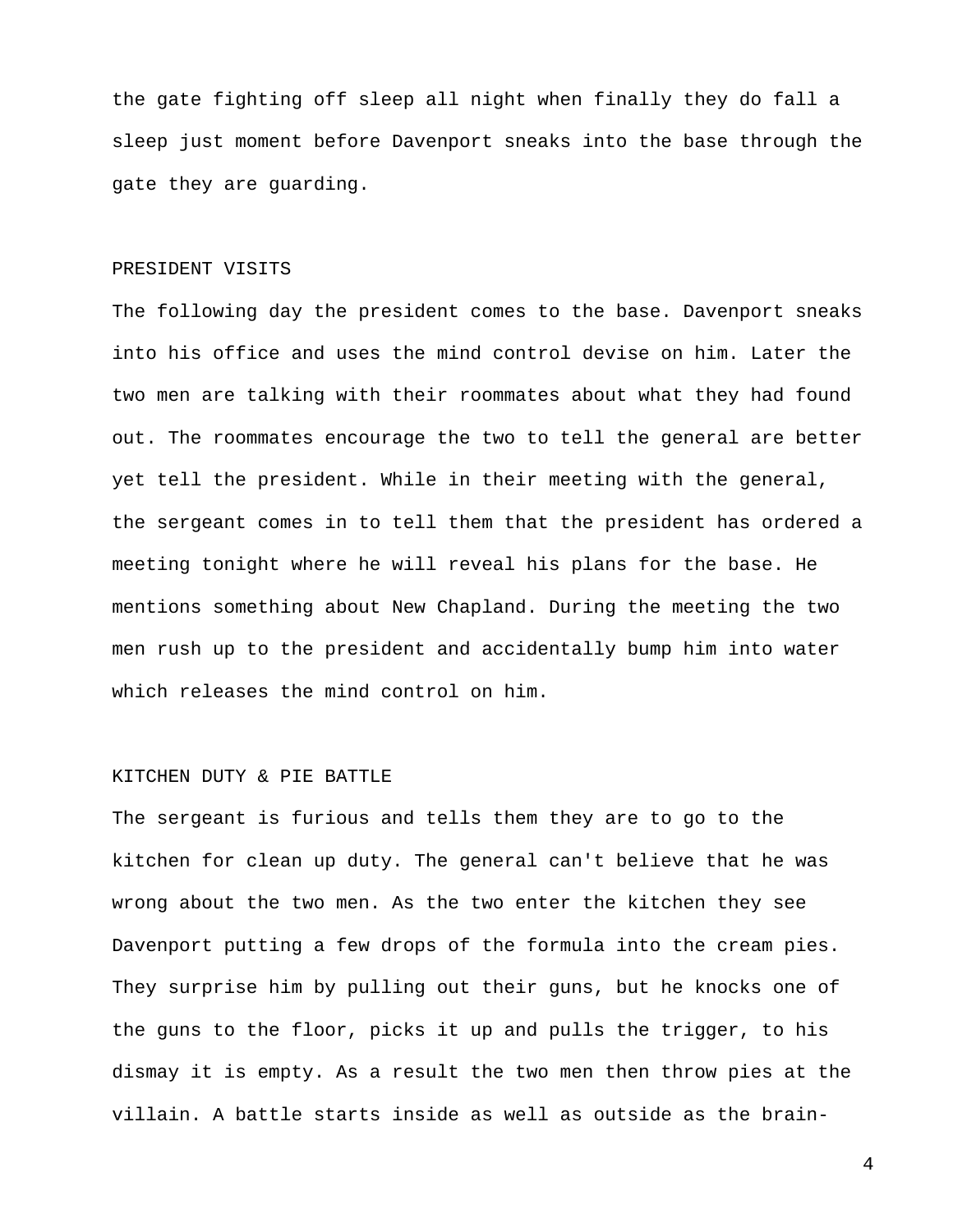the gate fighting off sleep all night when finally they do fall a sleep just moment before Davenport sneaks into the base through the gate they are guarding.

## PRESIDENT VISITS

The following day the president comes to the base. Davenport sneaks into his office and uses the mind control devise on him. Later the two men are talking with their roommates about what they had found out. The roommates encourage the two to tell the general are better yet tell the president. While in their meeting with the general, the sergeant comes in to tell them that the president has ordered a meeting tonight where he will reveal his plans for the base. He mentions something about New Chapland. During the meeting the two men rush up to the president and accidentally bump him into water which releases the mind control on him.

### KITCHEN DUTY & PIE BATTLE

The sergeant is furious and tells them they are to go to the kitchen for clean up duty. The general can't believe that he was wrong about the two men. As the two enter the kitchen they see Davenport putting a few drops of the formula into the cream pies. They surprise him by pulling out their guns, but he knocks one of the guns to the floor, picks it up and pulls the trigger, to his dismay it is empty. As a result the two men then throw pies at the villain. A battle starts inside as well as outside as the brain-